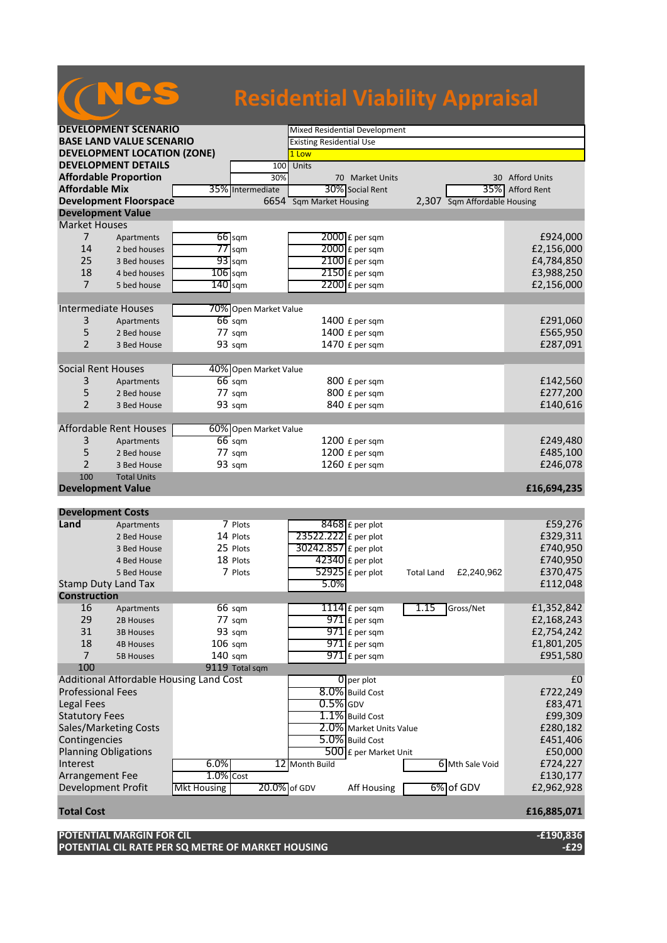## **Residential Viability Appraisal**

| <b>DEVELOPMENT SCENARIO</b>        |                    |                                         |                       | Mixed Residential Development   |                         |                   |                              |                    |
|------------------------------------|--------------------|-----------------------------------------|-----------------------|---------------------------------|-------------------------|-------------------|------------------------------|--------------------|
| <b>BASE LAND VALUE SCENARIO</b>    |                    |                                         |                       | <b>Existing Residential Use</b> |                         |                   |                              |                    |
| <b>DEVELOPMENT LOCATION (ZONE)</b> |                    |                                         |                       | 1 Low                           |                         |                   |                              |                    |
| <b>DEVELOPMENT DETAILS</b>         |                    |                                         | 100                   | Units                           |                         |                   |                              |                    |
| <b>Affordable Proportion</b>       |                    |                                         | 30%                   |                                 | 70 Market Units         |                   |                              | 30 Afford Units    |
| <b>Affordable Mix</b>              |                    |                                         | 35% Intermediate      |                                 | 30% Social Rent         |                   | 35%                          | <b>Afford Rent</b> |
| <b>Development Floorspace</b>      |                    |                                         |                       | 6654 Sqm Market Housing         |                         |                   | 2,307 Sqm Affordable Housing |                    |
| <b>Development Value</b>           |                    |                                         |                       |                                 |                         |                   |                              |                    |
| <b>Market Houses</b>               |                    |                                         |                       |                                 |                         |                   |                              |                    |
| $\overline{7}$                     | Apartments         |                                         | 66 sqm                |                                 | 2000 £ per sqm          |                   |                              | £924,000           |
| 14                                 | 2 bed houses       |                                         | $77$ sqm              |                                 | $2000$ £ per sqm        |                   |                              | £2,156,000         |
| 25                                 | 3 Bed houses       |                                         | 93 sqm                |                                 | 2100 £ per sqm          |                   |                              | £4,784,850         |
| 18                                 | 4 bed houses       | $106$ sqm                               |                       |                                 | $2150$ £ per sqm        |                   |                              | £3,988,250         |
| $\overline{7}$                     | 5 bed house        | $140$ sqm                               |                       |                                 | 2200 £ per sqm          |                   |                              | £2,156,000         |
|                                    |                    |                                         |                       |                                 |                         |                   |                              |                    |
| Intermediate Houses                |                    |                                         | 70% Open Market Value |                                 |                         |                   |                              |                    |
| 3                                  | Apartments         |                                         | $66$ sqm              |                                 | 1400 £ per sqm          |                   |                              | £291,060           |
| 5                                  | 2 Bed house        |                                         | 77 sqm                |                                 | 1400 £ per sqm          |                   |                              | £565,950           |
| $\overline{2}$                     | 3 Bed House        |                                         | 93 sqm                |                                 | 1470 £ per sqm          |                   |                              | £287,091           |
|                                    |                    |                                         |                       |                                 |                         |                   |                              |                    |
| <b>Social Rent Houses</b>          |                    |                                         | 40% Open Market Value |                                 |                         |                   |                              |                    |
| 3                                  | Apartments         |                                         | $66$ sqm              |                                 | 800 £ per sqm           |                   |                              | £142,560           |
| 5                                  | 2 Bed house        |                                         | 77 sqm                |                                 | 800 £ per sqm           |                   |                              | £277,200           |
| $\overline{2}$                     | 3 Bed House        |                                         | 93 sqm                |                                 | 840 £ per sqm           |                   |                              | £140,616           |
|                                    |                    |                                         |                       |                                 |                         |                   |                              |                    |
| <b>Affordable Rent Houses</b>      |                    |                                         | 60% Open Market Value |                                 |                         |                   |                              |                    |
| 3                                  | Apartments         |                                         | $66$ sqm              |                                 | 1200 £ per sqm          |                   |                              | £249,480           |
| 5                                  | 2 Bed house        |                                         | 77 sqm                |                                 | 1200 £ per sqm          |                   |                              | £485,100           |
| $\overline{2}$                     | 3 Bed House        |                                         | 93 sqm                |                                 | 1260 £ per sqm          |                   |                              | £246,078           |
| 100                                | <b>Total Units</b> |                                         |                       |                                 |                         |                   |                              |                    |
| <b>Development Value</b>           |                    |                                         |                       |                                 |                         |                   |                              | £16,694,235        |
|                                    |                    |                                         |                       |                                 |                         |                   |                              |                    |
| <b>Development Costs</b>           |                    |                                         |                       |                                 |                         |                   |                              |                    |
| Land                               | Apartments         |                                         | 7 Plots               |                                 | 8468 £ per plot         |                   |                              | £59,276            |
|                                    | 2 Bed House        |                                         | 14 Plots              | 23522.222 £ per plot            |                         |                   |                              | £329,311           |
|                                    | 3 Bed House        |                                         | 25 Plots              | 30242.857 £ per plot            |                         |                   |                              | £740,950           |
|                                    | 4 Bed House        |                                         | 18 Plots              |                                 | $42340$ £ per plot      |                   |                              | £740,950           |
|                                    | 5 Bed House        |                                         | 7 Plots               |                                 | $52925$ £ per plot      | <b>Total Land</b> | £2,240,962                   | £370,475           |
| <b>Stamp Duty Land Tax</b>         |                    |                                         |                       | 5.0%                            |                         |                   |                              | £112,048           |
| <b>Construction</b>                |                    |                                         |                       |                                 |                         |                   |                              |                    |
| 16                                 | Apartments         |                                         | 66 sqm                |                                 | 1114 $E$ per sqm        | 1.15              | Gross/Net                    | £1,352,842         |
| 29                                 | 2B Houses          |                                         | 77 sgm                |                                 | $971$ £ per sqm         |                   |                              | £2,168,243         |
| 31                                 | <b>3B Houses</b>   |                                         | 93 sqm                |                                 | $971$ £ per sqm         |                   |                              | £2,754,242         |
| 18                                 | <b>4B Houses</b>   | $106$ sqm                               |                       |                                 | $971$ $E$ per sqm       |                   |                              | £1,801,205         |
| $\overline{7}$                     | <b>5B Houses</b>   | 140 sqm                                 |                       |                                 | $971$ £ per sqm         |                   |                              | £951,580           |
| 100                                |                    |                                         | 9119 Total sqm        |                                 |                         |                   |                              |                    |
|                                    |                    | Additional Affordable Housing Land Cost |                       |                                 | 0 per plot              |                   |                              | £0                 |
| <b>Professional Fees</b>           |                    |                                         |                       |                                 | 8.0% Build Cost         |                   |                              | £722,249           |
| <b>Legal Fees</b>                  |                    |                                         |                       | $0.5\%$ GDV                     |                         |                   |                              | £83,471            |
| <b>Statutory Fees</b>              |                    |                                         |                       |                                 | 1.1% Build Cost         |                   |                              | £99,309            |
| Sales/Marketing Costs              |                    |                                         |                       |                                 | 2.0% Market Units Value |                   |                              | £280,182           |
| Contingencies                      |                    |                                         |                       |                                 | 5.0% Build Cost         |                   |                              | £451,406           |
| <b>Planning Obligations</b>        |                    |                                         |                       |                                 | 500 £ per Market Unit   |                   |                              | £50,000            |
| Interest                           |                    | 6.0%                                    |                       | 12 Month Build                  |                         |                   | 6 Mth Sale Void              | £724,227           |
| Arrangement Fee                    |                    | $1.0%$ Cost                             |                       |                                 |                         |                   |                              | £130,177           |
| Development Profit                 |                    | <b>Mkt Housing</b>                      | 20.0% of GDV          |                                 | Aff Housing             |                   | 6% of GDV                    | £2,962,928         |
|                                    |                    |                                         |                       |                                 |                         |                   |                              |                    |
| <b>Total Cost</b>                  |                    |                                         |                       |                                 |                         |                   |                              | £16,885,071        |

| <b>POTENTIAL MARGIN FOR CIL</b>                   | E190,836- |
|---------------------------------------------------|-----------|
| POTENTIAL CIL RATE PER SQ METRE OF MARKET HOUSING | $-E29$    |

**CNCS**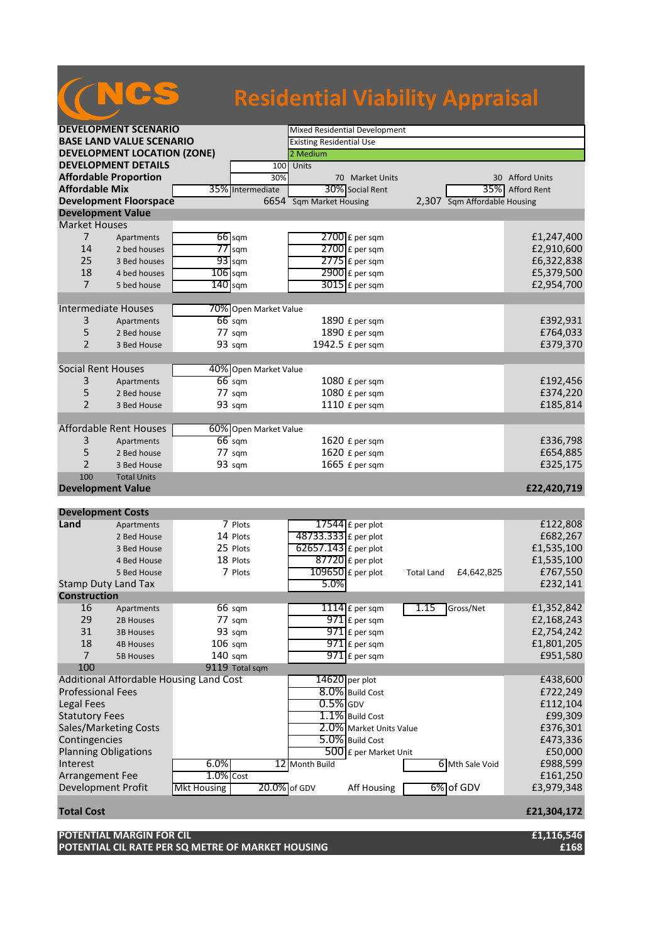## **Residential Viability Appraisal**

| <b>DEVELOPMENT SCENARIO</b>        |                                         |                    |                       | Mixed Residential Development   |                         |                   |                              |                    |
|------------------------------------|-----------------------------------------|--------------------|-----------------------|---------------------------------|-------------------------|-------------------|------------------------------|--------------------|
| <b>BASE LAND VALUE SCENARIO</b>    |                                         |                    |                       | <b>Existing Residential Use</b> |                         |                   |                              |                    |
| <b>DEVELOPMENT LOCATION (ZONE)</b> |                                         |                    |                       | 2 Medium                        |                         |                   |                              |                    |
|                                    | <b>DEVELOPMENT DETAILS</b>              |                    | 100                   | Units                           |                         |                   |                              |                    |
| <b>Affordable Proportion</b>       |                                         |                    | 30%                   |                                 | 70 Market Units         |                   |                              | 30 Afford Units    |
| <b>Affordable Mix</b>              |                                         |                    | 35% Intermediate      |                                 | 30% Social Rent         |                   | 35%                          | <b>Afford Rent</b> |
|                                    | <b>Development Floorspace</b>           |                    |                       | 6654 Sqm Market Housing         |                         |                   | 2,307 Sqm Affordable Housing |                    |
| <b>Development Value</b>           |                                         |                    |                       |                                 |                         |                   |                              |                    |
| <b>Market Houses</b>               |                                         |                    |                       |                                 |                         |                   |                              |                    |
| $\overline{7}$                     | Apartments                              |                    | $66$ sqm              |                                 | 2700 £ per sqm          |                   |                              | £1,247,400         |
| 14                                 | 2 bed houses                            |                    | $77$ sqm              |                                 | $2700$ £ per sqm        |                   |                              | £2,910,600         |
| 25                                 | 3 Bed houses                            |                    | $93$ sqm              |                                 | $2775$ £ per sqm        |                   |                              | £6,322,838         |
| 18                                 | 4 bed houses                            | $106$ sqm          |                       |                                 | $2900$ £ per sqm        |                   |                              | £5,379,500         |
| $\overline{7}$                     | 5 bed house                             | $140$ sqm          |                       |                                 | $3015$ £ per sqm        |                   |                              | £2,954,700         |
|                                    |                                         |                    |                       |                                 |                         |                   |                              |                    |
| Intermediate Houses                |                                         |                    | 70% Open Market Value |                                 |                         |                   |                              |                    |
| 3                                  | Apartments                              |                    | $66$ sqm              |                                 | 1890 £ per sqm          |                   |                              | £392,931           |
| 5                                  | 2 Bed house                             |                    | 77 sqm                |                                 | 1890 £ per sqm          |                   |                              | £764,033           |
| $\overline{2}$                     | 3 Bed House                             |                    | 93 sqm                |                                 | 1942.5 £ per sqm        |                   |                              | £379,370           |
|                                    |                                         |                    |                       |                                 |                         |                   |                              |                    |
| <b>Social Rent Houses</b>          |                                         |                    | 40% Open Market Value |                                 |                         |                   |                              |                    |
| 3                                  | Apartments                              |                    | $66$ sqm              |                                 | 1080 £ per sqm          |                   |                              | £192,456           |
| 5                                  | 2 Bed house                             |                    | 77 sqm                |                                 | 1080 £ per sqm          |                   |                              | £374,220           |
| $\overline{2}$                     | 3 Bed House                             |                    | 93 sqm                |                                 | 1110 £ per sqm          |                   |                              | £185,814           |
|                                    |                                         |                    |                       |                                 |                         |                   |                              |                    |
|                                    | <b>Affordable Rent Houses</b>           |                    | 60% Open Market Value |                                 |                         |                   |                              |                    |
| 3                                  | Apartments                              |                    | $66$ sqm              |                                 | 1620 £ per sqm          |                   |                              | £336,798           |
| 5                                  | 2 Bed house                             |                    | 77 sqm                |                                 | 1620 £ per sqm          |                   |                              | £654,885           |
| 2                                  | 3 Bed House                             |                    | 93 sqm                |                                 | 1665 £ per sqm          |                   |                              | £325,175           |
| 100                                | <b>Total Units</b>                      |                    |                       |                                 |                         |                   |                              |                    |
| <b>Development Value</b>           |                                         |                    |                       |                                 |                         |                   |                              | £22,420,719        |
|                                    |                                         |                    |                       |                                 |                         |                   |                              |                    |
| <b>Development Costs</b>           |                                         |                    |                       |                                 |                         |                   |                              |                    |
| Land                               | Apartments                              |                    | 7 Plots               |                                 | 17544 $E$ per plot      |                   |                              | £122,808           |
|                                    | 2 Bed House                             |                    | 14 Plots              | 48733.333 £ per plot            |                         |                   |                              | £682,267           |
|                                    | 3 Bed House                             |                    | 25 Plots              | 62657.143 £ per plot            |                         |                   |                              | £1,535,100         |
|                                    | 4 Bed House                             |                    | 18 Plots              |                                 | $87720$ £ per plot      |                   |                              | £1,535,100         |
|                                    | 5 Bed House                             |                    | 7 Plots               |                                 | 109650 £ per plot       | <b>Total Land</b> | £4,642,825                   | £767,550           |
| <b>Stamp Duty Land Tax</b>         |                                         |                    |                       | 5.0%                            |                         |                   |                              | £232,141           |
| <b>Construction</b>                |                                         |                    |                       |                                 |                         |                   |                              |                    |
| 16                                 | Apartments                              |                    | 66 sqm                |                                 | $1114$ $E$ per sqm      | 1.15              | Gross/Net                    | £1,352,842         |
| 29                                 | 2B Houses                               |                    | $77 \text{ sqm}$      |                                 | $971$ $E$ per sqm       |                   |                              | £2,168,243         |
| 31                                 | <b>3B Houses</b>                        |                    | 93 sqm                |                                 | 971 £ per sqm           |                   |                              | £2,754,242         |
| 18                                 | <b>4B Houses</b>                        | $106$ sqm          |                       |                                 | $971$ $E$ per sqm       |                   |                              | £1,801,205         |
| $\overline{7}$                     | <b>5B Houses</b>                        | 140 sqm            |                       |                                 | $971$ $E$ per sqm       |                   |                              | £951,580           |
| 100                                |                                         |                    | 9119 Total sqm        |                                 |                         |                   |                              |                    |
|                                    | Additional Affordable Housing Land Cost |                    |                       |                                 | $14620$ per plot        |                   |                              | £438,600           |
| <b>Professional Fees</b>           |                                         |                    |                       |                                 | 8.0% Build Cost         |                   |                              | £722,249           |
| <b>Legal Fees</b>                  |                                         |                    |                       | $0.5\%$ GDV                     |                         |                   |                              | £112,104           |
| <b>Statutory Fees</b>              |                                         |                    |                       |                                 | 1.1% Build Cost         |                   |                              | £99,309            |
| Sales/Marketing Costs              |                                         |                    |                       |                                 | 2.0% Market Units Value |                   |                              | £376,301           |
| Contingencies                      |                                         |                    |                       |                                 | 5.0% Build Cost         |                   |                              | £473,336           |
| <b>Planning Obligations</b>        |                                         |                    |                       |                                 | 500 £ per Market Unit   |                   |                              | £50,000            |
| Interest                           |                                         | 6.0%               |                       | 12 Month Build                  |                         |                   | 6 Mth Sale Void              | £988,599           |
| Arrangement Fee                    |                                         | $1.0%$ Cost        |                       |                                 |                         |                   |                              | £161,250           |
| Development Profit                 |                                         | <b>Mkt Housing</b> | 20.0% of GDV          |                                 | Aff Housing             |                   | 6% of GDV                    | £3,979,348         |
| <b>Total Cost</b>                  |                                         |                    |                       |                                 |                         |                   |                              | £21,304,172        |

| <b>POTENTIAL MARGIN FOR CIL</b>                   | £1,116,546 |
|---------------------------------------------------|------------|
| POTENTIAL CIL RATE PER SQ METRE OF MARKET HOUSING | £168       |

**CNCS**